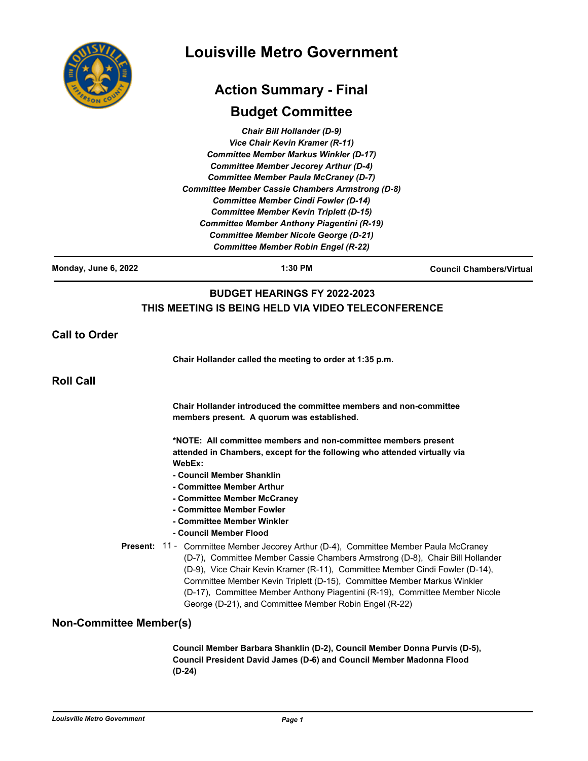|                                | <b>Louisville Metro Government</b><br><b>Action Summary - Final</b>                                                                                                                                                                                                                                                                                                                                                                                                                                                                |                                 |  |
|--------------------------------|------------------------------------------------------------------------------------------------------------------------------------------------------------------------------------------------------------------------------------------------------------------------------------------------------------------------------------------------------------------------------------------------------------------------------------------------------------------------------------------------------------------------------------|---------------------------------|--|
|                                |                                                                                                                                                                                                                                                                                                                                                                                                                                                                                                                                    |                                 |  |
|                                | <b>Chair Bill Hollander (D-9)</b><br>Vice Chair Kevin Kramer (R-11)<br><b>Committee Member Markus Winkler (D-17)</b><br><b>Committee Member Jecorey Arthur (D-4)</b><br><b>Committee Member Paula McCraney (D-7)</b><br><b>Committee Member Cassie Chambers Armstrong (D-8)</b><br><b>Committee Member Cindi Fowler (D-14)</b><br><b>Committee Member Kevin Triplett (D-15)</b><br><b>Committee Member Anthony Piagentini (R-19)</b><br><b>Committee Member Nicole George (D-21)</b><br><b>Committee Member Robin Engel (R-22)</b> |                                 |  |
| <b>Monday, June 6, 2022</b>    | 1:30 PM                                                                                                                                                                                                                                                                                                                                                                                                                                                                                                                            | <b>Council Chambers/Virtual</b> |  |
| <b>Call to Order</b>           | THIS MEETING IS BEING HELD VIA VIDEO TELECONFERENCE                                                                                                                                                                                                                                                                                                                                                                                                                                                                                |                                 |  |
|                                | Chair Hollander called the meeting to order at 1:35 p.m.                                                                                                                                                                                                                                                                                                                                                                                                                                                                           |                                 |  |
| <b>Roll Call</b>               |                                                                                                                                                                                                                                                                                                                                                                                                                                                                                                                                    |                                 |  |
|                                | Chair Hollander introduced the committee members and non-committee<br>members present. A quorum was established.                                                                                                                                                                                                                                                                                                                                                                                                                   |                                 |  |
|                                | *NOTE: All committee members and non-committee members present<br>attended in Chambers, except for the following who attended virtually via<br>WebEx:<br>- Council Member Shanklin<br>- Committee Member Arthur<br>- Committee Member McCraney<br>- Committee Member Fowler<br>- Committee Member Winkler<br>- Council Member Flood                                                                                                                                                                                                |                                 |  |
|                                | Present: 11 - Committee Member Jecorey Arthur (D-4), Committee Member Paula McCraney<br>(D-7), Committee Member Cassie Chambers Armstrong (D-8), Chair Bill Hollander<br>(D-9), Vice Chair Kevin Kramer (R-11), Committee Member Cindi Fowler (D-14),<br>Committee Member Kevin Triplett (D-15), Committee Member Markus Winkler<br>(D-17), Committee Member Anthony Piagentini (R-19), Committee Member Nicole<br>George (D-21), and Committee Member Robin Engel (R-22)                                                          |                                 |  |
| <b>Non-Committee Member(s)</b> |                                                                                                                                                                                                                                                                                                                                                                                                                                                                                                                                    |                                 |  |
|                                | Council Member Barbara Shanklin (D-2), Council Member Donna Purvis (D-5),<br>Council President David James (D-6) and Council Member Madonna Flood                                                                                                                                                                                                                                                                                                                                                                                  |                                 |  |

**(D-24)**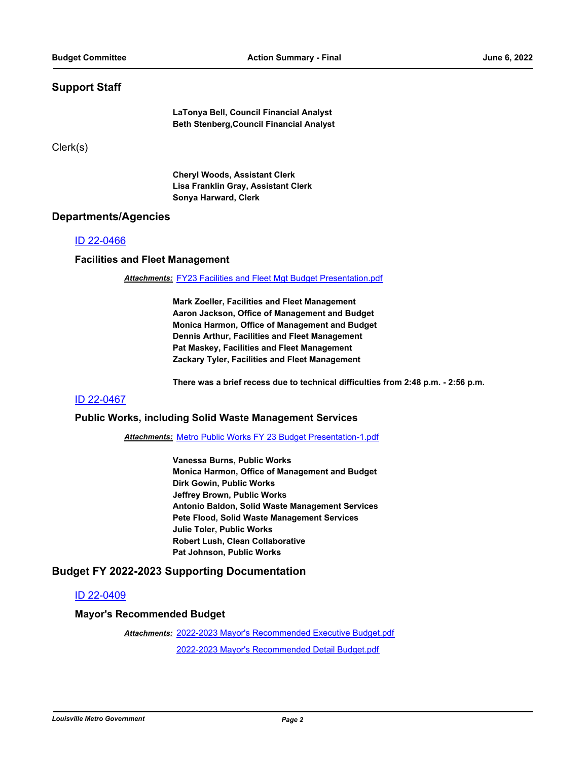# **Support Staff**

**LaTonya Bell, Council Financial Analyst Beth Stenberg,Council Financial Analyst**

Clerk(s)

**Cheryl Woods, Assistant Clerk Lisa Franklin Gray, Assistant Clerk Sonya Harward, Clerk**

# **Departments/Agencies**

## [ID 22-0466](http://louisville.legistar.com/gateway.aspx?m=l&id=/matter.aspx?key=59974)

## **Facilities and Fleet Management**

*Attachments:* [FY23 Facilities and Fleet Mgt Budget Presentation.pdf](http://louisville.legistar.com/gateway.aspx?M=F&ID=ee182e0f-008c-4b68-9e07-c27911ad21ab.pdf)

**Mark Zoeller, Facilities and Fleet Management Aaron Jackson, Office of Management and Budget Monica Harmon, Office of Management and Budget Dennis Arthur, Facilities and Fleet Management Pat Maskey, Facilities and Fleet Management Zackary Tyler, Facilities and Fleet Management**

**There was a brief recess due to technical difficulties from 2:48 p.m. - 2:56 p.m.**

## [ID 22-0467](http://louisville.legistar.com/gateway.aspx?m=l&id=/matter.aspx?key=59975)

#### **Public Works, including Solid Waste Management Services**

*Attachments:* [Metro Public Works FY 23 Budget Presentation-1.pdf](http://louisville.legistar.com/gateway.aspx?M=F&ID=503bfb48-ad45-4fec-a8cc-023867d284fb.pdf)

**Vanessa Burns, Public Works Monica Harmon, Office of Management and Budget Dirk Gowin, Public Works Jeffrey Brown, Public Works Antonio Baldon, Solid Waste Management Services Pete Flood, Solid Waste Management Services Julie Toler, Public Works Robert Lush, Clean Collaborative Pat Johnson, Public Works**

# **Budget FY 2022-2023 Supporting Documentation**

## [ID 22-0409](http://louisville.legistar.com/gateway.aspx?m=l&id=/matter.aspx?key=59881)

### **Mayor's Recommended Budget**

[2022-2023 Mayor's Recommended Executive Budget.pdf](http://louisville.legistar.com/gateway.aspx?M=F&ID=a7d55fe2-91bf-4cc4-9d95-ccc4859e9cec.pdf) *Attachments:* [2022-2023 Mayor's Recommended Detail Budget.pdf](http://louisville.legistar.com/gateway.aspx?M=F&ID=6d6cd3c4-71c5-48c5-ac97-6b42e82b2cdc.pdf)